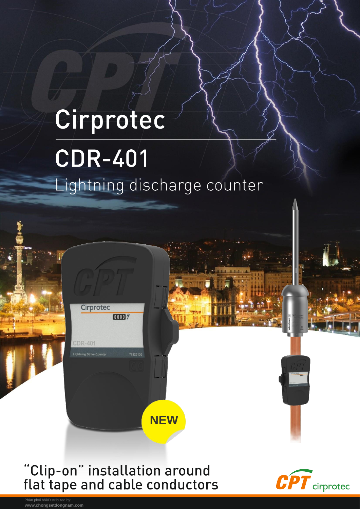## Cirprotec **CDR-401** Lightning discharge counter



Cirprotec

**CDR-401** 

0000 %

77920130

**NEW** 

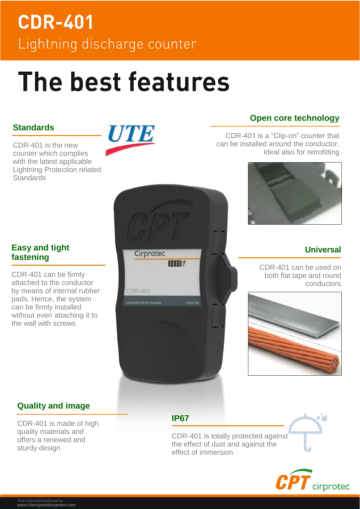## **CDR-401** Lightning discharge counter

# The best features

#### **Standards**

CDR-401 is the new counter which complies with the latest applicable Lightning Protection related **Standards** 



Cirprotec

a Strike Count

**CDR-401** 

0000 %

#### **Open core technology**

CDR-401 is a "Clip-on" counter that can be installed around the conductor. Ideal also for retrofitting



#### **Universal**

CDR-401 can be used on both flat tape and round conductors



#### **Easy and tight fastening**

CDR-401 can be firmly attached to the conductor by means of internal rubber pads. Hence, the system can be firmly installed without even attaching it to the wall with screws

#### **Quality and image**

CDR-401 is made of high quality materials and offers a renewed and sturdy design

**IP67**

CDR-401 is totally protected against the effect of dust and against the effect of immersion